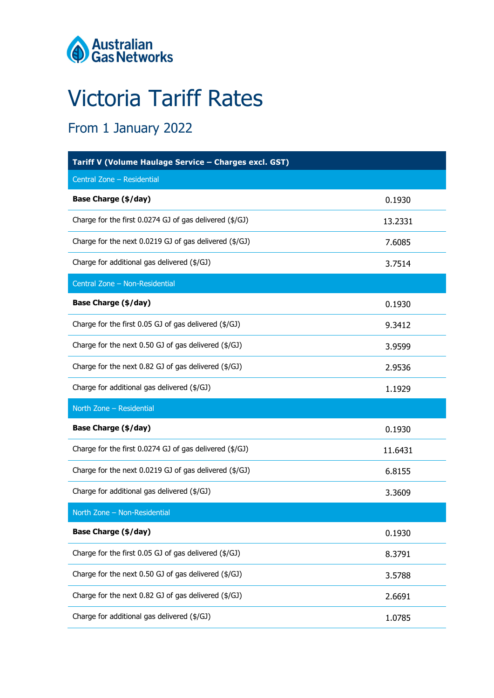

# Victoria Tariff Rates

## From 1 January 2022

| Tariff V (Volume Haulage Service - Charges excl. GST)   |         |  |  |  |
|---------------------------------------------------------|---------|--|--|--|
| Central Zone - Residential                              |         |  |  |  |
| <b>Base Charge (\$/day)</b>                             | 0.1930  |  |  |  |
| Charge for the first 0.0274 GJ of gas delivered (\$/GJ) | 13.2331 |  |  |  |
| Charge for the next 0.0219 GJ of gas delivered (\$/GJ)  | 7.6085  |  |  |  |
| Charge for additional gas delivered (\$/GJ)             | 3.7514  |  |  |  |
| Central Zone - Non-Residential                          |         |  |  |  |
| <b>Base Charge (\$/day)</b>                             | 0.1930  |  |  |  |
| Charge for the first 0.05 GJ of gas delivered (\$/GJ)   | 9.3412  |  |  |  |
| Charge for the next 0.50 GJ of gas delivered (\$/GJ)    | 3.9599  |  |  |  |
| Charge for the next 0.82 GJ of gas delivered (\$/GJ)    | 2.9536  |  |  |  |
| Charge for additional gas delivered (\$/GJ)             | 1.1929  |  |  |  |
| North Zone - Residential                                |         |  |  |  |
| <b>Base Charge (\$/day)</b>                             | 0.1930  |  |  |  |
| Charge for the first 0.0274 GJ of gas delivered (\$/GJ) | 11.6431 |  |  |  |
| Charge for the next 0.0219 GJ of gas delivered (\$/GJ)  | 6.8155  |  |  |  |
| Charge for additional gas delivered (\$/GJ)             | 3.3609  |  |  |  |
| North Zone - Non-Residential                            |         |  |  |  |
| <b>Base Charge (\$/day)</b>                             | 0.1930  |  |  |  |
| Charge for the first 0.05 GJ of gas delivered (\$/GJ)   | 8.3791  |  |  |  |
| Charge for the next 0.50 GJ of gas delivered (\$/GJ)    | 3.5788  |  |  |  |
| Charge for the next 0.82 GJ of gas delivered (\$/GJ)    | 2.6691  |  |  |  |
| Charge for additional gas delivered (\$/GJ)             | 1.0785  |  |  |  |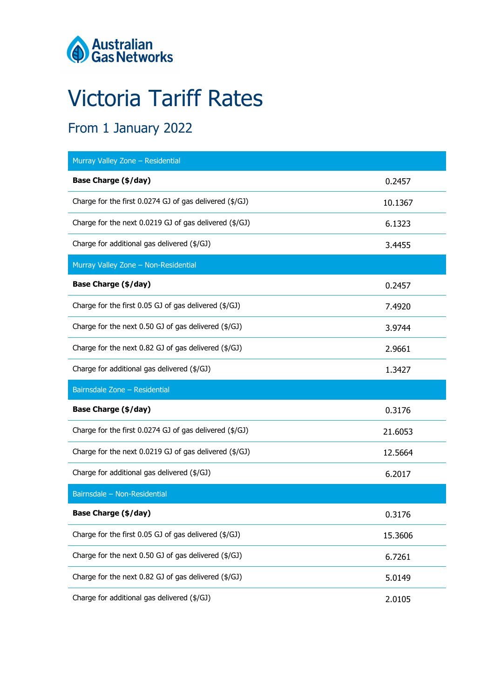

# Victoria Tariff Rates

## From 1 January 2022

| Murray Valley Zone - Residential                                   |         |
|--------------------------------------------------------------------|---------|
| <b>Base Charge (\$/day)</b>                                        | 0.2457  |
| Charge for the first 0.0274 GJ of gas delivered (\$/GJ)            | 10.1367 |
| Charge for the next 0.0219 GJ of gas delivered $(\frac{4}{G})$     | 6.1323  |
| Charge for additional gas delivered (\$/GJ)                        | 3.4455  |
| Murray Valley Zone - Non-Residential                               |         |
| <b>Base Charge (\$/day)</b>                                        | 0.2457  |
| Charge for the first 0.05 GJ of gas delivered (\$/GJ)              | 7.4920  |
| Charge for the next 0.50 GJ of gas delivered (\$/GJ)               | 3.9744  |
| Charge for the next 0.82 GJ of gas delivered (\$/GJ)               | 2.9661  |
| Charge for additional gas delivered (\$/GJ)                        | 1.3427  |
|                                                                    |         |
| Bairnsdale Zone - Residential                                      |         |
| <b>Base Charge (\$/day)</b>                                        | 0.3176  |
| Charge for the first 0.0274 GJ of gas delivered (\$/GJ)            | 21.6053 |
| Charge for the next $0.0219$ GJ of gas delivered ( $\frac{4}{3}$ ) | 12.5664 |
| Charge for additional gas delivered (\$/GJ)                        | 6.2017  |
| Bairnsdale - Non-Residential                                       |         |
| <b>Base Charge (\$/day)</b>                                        | 0.3176  |
| Charge for the first 0.05 GJ of gas delivered (\$/GJ)              | 15.3606 |
| Charge for the next 0.50 GJ of gas delivered (\$/GJ)               | 6.7261  |
| Charge for the next 0.82 GJ of gas delivered (\$/GJ)               | 5.0149  |